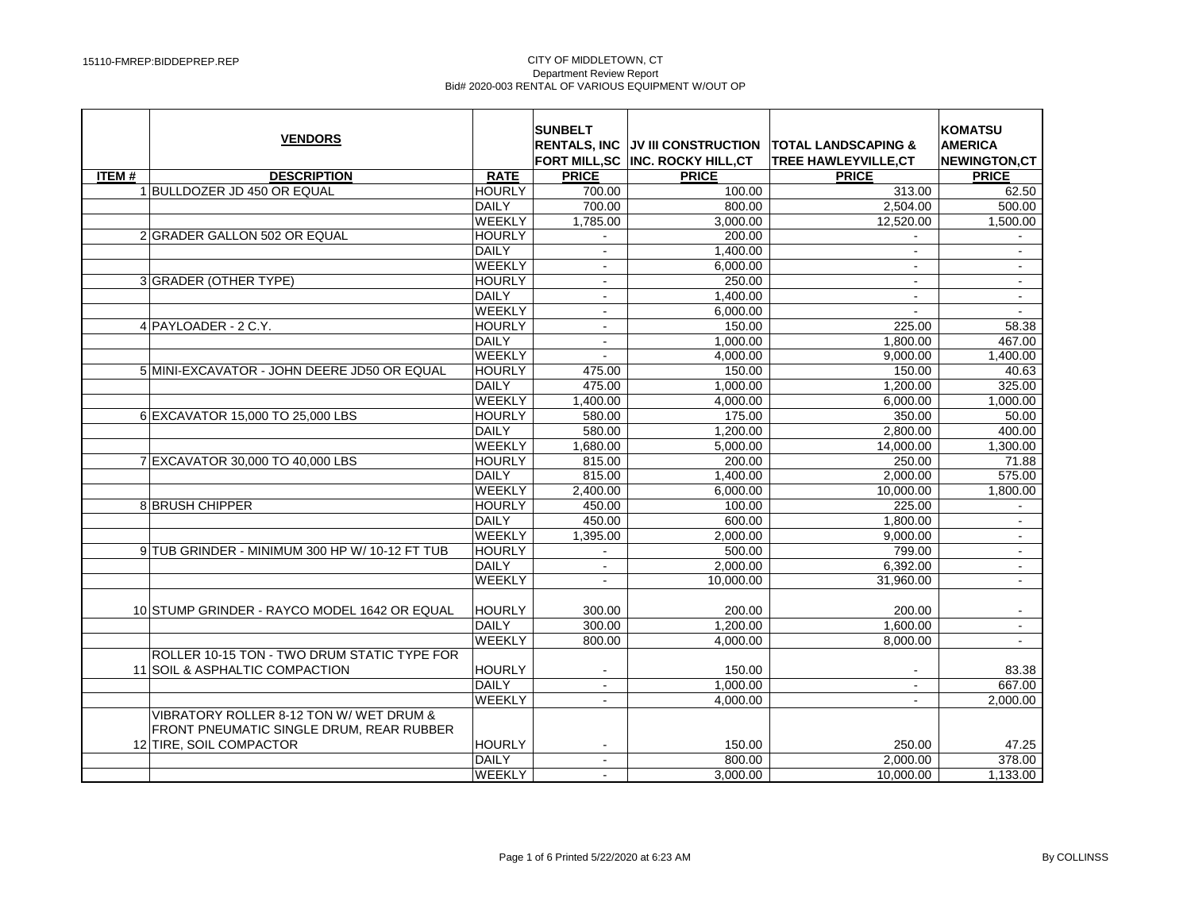|              | <b>VENDORS</b>                                                                      |               | <b>SUNBELT</b> | FORT MILL, SC  INC. ROCKY HILL, CT | RENTALS. INC IJV III CONSTRUCTION TOTAL LANDSCAPING &<br><b>TREE HAWLEYVILLE,CT</b> | <b>KOMATSU</b><br><b>AMERICA</b><br><b>NEWINGTON,CT</b> |
|--------------|-------------------------------------------------------------------------------------|---------------|----------------|------------------------------------|-------------------------------------------------------------------------------------|---------------------------------------------------------|
| <b>ITEM#</b> | <b>DESCRIPTION</b>                                                                  | <b>RATE</b>   | <b>PRICE</b>   | <b>PRICE</b>                       | <b>PRICE</b>                                                                        | <b>PRICE</b>                                            |
|              | 1 BULLDOZER JD 450 OR EQUAL                                                         | <b>HOURLY</b> | 700.00         | 100.00                             | 313.00                                                                              | 62.50                                                   |
|              |                                                                                     | DAILY         | 700.00         | 800.00                             | 2,504.00                                                                            | 500.00                                                  |
|              |                                                                                     | WEEKLY        | 1,785.00       | 3,000.00                           | 12,520.00                                                                           | 1,500.00                                                |
|              | 2 GRADER GALLON 502 OR EQUAL                                                        | <b>HOURLY</b> | $\sim$         | 200.00                             | $\sim$                                                                              | $\sim$                                                  |
|              |                                                                                     | DAILY         |                | 1,400.00                           |                                                                                     |                                                         |
|              |                                                                                     | WEEKLY        | $\blacksquare$ | 6,000.00                           | $\blacksquare$                                                                      | $\blacksquare$                                          |
|              | 3 GRADER (OTHER TYPE)                                                               | <b>HOURLY</b> | $\mathbf{r}$   | 250.00                             | $\blacksquare$                                                                      | $\sim$                                                  |
|              |                                                                                     | DAILY         |                | 1.400.00                           |                                                                                     | $\mathbf{r}$                                            |
|              |                                                                                     | WEEKLY        | $\blacksquare$ | 6,000.00                           | $\blacksquare$                                                                      | $\sim$                                                  |
|              | 4 PAYLOADER - 2 C.Y.                                                                | <b>HOURLY</b> | $\mathbf{r}$   | 150.00                             | 225.00                                                                              | 58.38                                                   |
|              |                                                                                     | <b>DAILY</b>  | $\sim$         | 1.000.00                           | 1.800.00                                                                            | 467.00                                                  |
|              |                                                                                     | WEEKLY        | $\blacksquare$ | 4,000.00                           | 9,000.00                                                                            | 1,400.00                                                |
|              | 5 MINI-EXCAVATOR - JOHN DEERE JD50 OR EQUAL                                         | <b>HOURLY</b> | 475.00         | 150.00                             | 150.00                                                                              | 40.63                                                   |
|              |                                                                                     | DAILY         | 475.00         | 1,000.00                           | 1,200.00                                                                            | 325.00                                                  |
|              |                                                                                     | WEEKLY        | 1,400.00       | 4,000.00                           | 6,000.00                                                                            | 1,000.00                                                |
|              | 6 EXCAVATOR 15,000 TO 25,000 LBS                                                    | <b>HOURLY</b> | 580.00         | 175.00                             | 350.00                                                                              | 50.00                                                   |
|              |                                                                                     | DAILY         | 580.00         | 1,200.00                           | 2,800.00                                                                            | 400.00                                                  |
|              |                                                                                     | <b>WEEKLY</b> | 1.680.00       | 5.000.00                           | 14.000.00                                                                           | 1,300.00                                                |
|              | 7 EXCAVATOR 30,000 TO 40,000 LBS                                                    | <b>HOURLY</b> | 815.00         | 200.00                             | 250.00                                                                              | 71.88                                                   |
|              |                                                                                     | DAILY         | 815.00         | 1,400.00                           | 2,000.00                                                                            | 575.00                                                  |
|              |                                                                                     | WEEKLY        | 2,400.00       | 6,000.00                           | 10,000.00                                                                           | 1,800.00                                                |
|              | 8 BRUSH CHIPPER                                                                     | <b>HOURLY</b> | 450.00         | 100.00                             | 225.00                                                                              | $\sim$                                                  |
|              |                                                                                     | DAILY         | 450.00         | 600.00                             | 1,800.00                                                                            | $\mathbf{r}$                                            |
|              |                                                                                     | WEEKLY        | 1,395.00       | 2,000.00                           | 9,000.00                                                                            | $\mathbf{r}$                                            |
|              | 9 TUB GRINDER - MINIMUM 300 HP W/ 10-12 FT TUB                                      | <b>HOURLY</b> | $\mathbf{r}$   | 500.00                             | 799.00                                                                              | $\sim$                                                  |
|              |                                                                                     | DAILY         | $\overline{a}$ | 2,000.00                           | 6,392.00                                                                            | $\mathbf{r}$                                            |
|              |                                                                                     | WEEKLY        | $\mathbf{r}$   | 10,000.00                          | 31,960.00                                                                           | $\sim$                                                  |
|              | 10 STUMP GRINDER - RAYCO MODEL 1642 OR EQUAL                                        | <b>HOURLY</b> | 300.00         | 200.00                             | 200.00                                                                              |                                                         |
|              |                                                                                     | DAILY         | 300.00         | 1,200.00                           | 1,600.00                                                                            | $\omega$                                                |
|              |                                                                                     | WEEKLY        | 800.00         | 4.000.00                           | 8.000.00                                                                            | $\sim$                                                  |
|              | ROLLER 10-15 TON - TWO DRUM STATIC TYPE FOR<br>11 SOIL & ASPHALTIC COMPACTION       | HOURLY        | $\blacksquare$ | 150.00                             |                                                                                     | 83.38                                                   |
|              |                                                                                     | DAILY         | $\blacksquare$ | 1,000.00                           | $\sim$                                                                              | 667.00                                                  |
|              |                                                                                     | WEEKLY        | $\mathbf{r}$   | 4.000.00                           |                                                                                     | 2,000.00                                                |
|              | VIBRATORY ROLLER 8-12 TON W/ WET DRUM &<br>FRONT PNEUMATIC SINGLE DRUM, REAR RUBBER |               |                |                                    |                                                                                     |                                                         |
|              | 12 TIRE, SOIL COMPACTOR                                                             | <b>HOURLY</b> | $\sim$         | 150.00                             | 250.00                                                                              | 47.25                                                   |
|              |                                                                                     | DAILY         | $\blacksquare$ | 800.00                             | 2,000.00                                                                            | 378.00                                                  |
|              |                                                                                     | WEEKLY        | $\blacksquare$ | 3,000.00                           | 10,000.00                                                                           | 1,133.00                                                |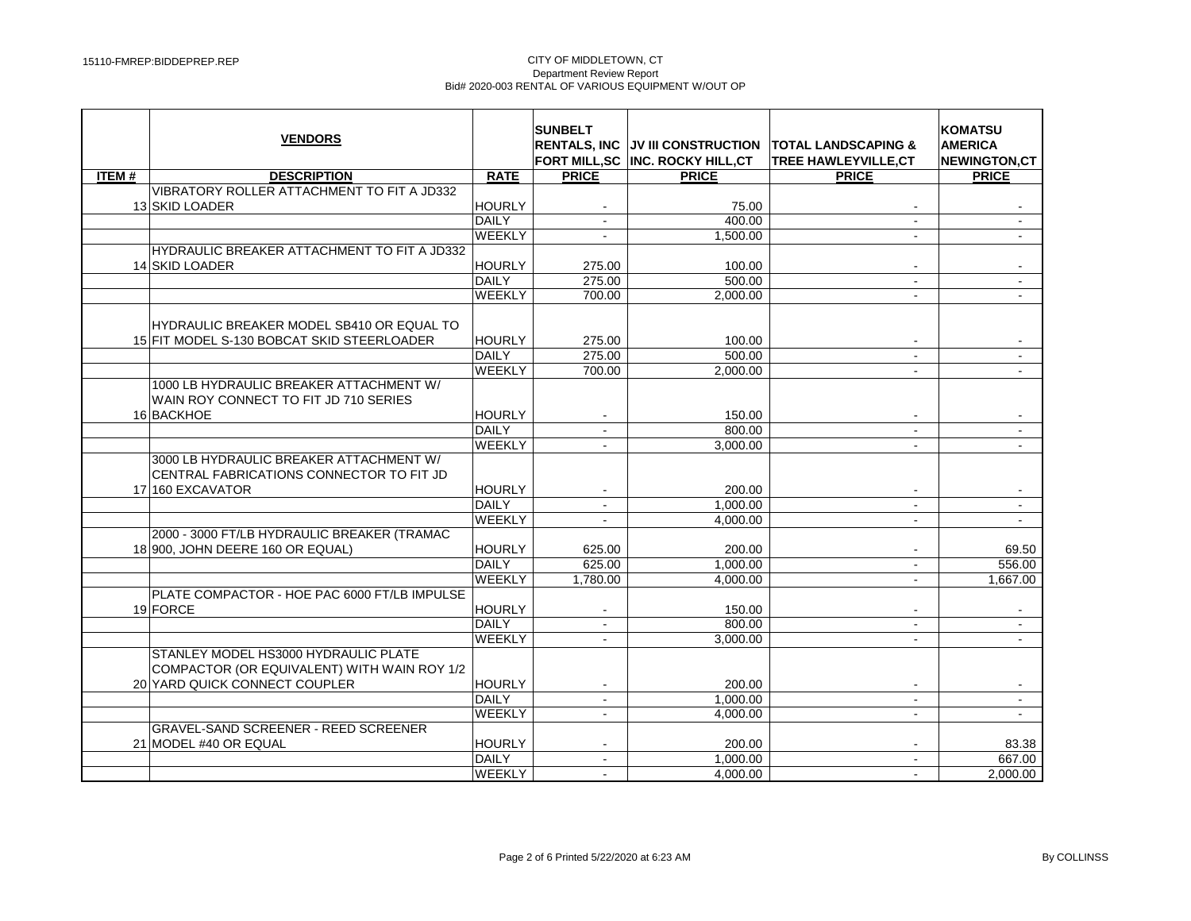|              | <b>VENDORS</b>                                                                                 |               | <b>SUNBELT</b><br><b>RENTALS, INC.</b> | FORT MILL, SC INC. ROCKY HILL, CT | JV III CONSTRUCTION TOTAL LANDSCAPING &<br>TREE HAWLEYVILLE, CT | <b>KOMATSU</b><br><b>AMERICA</b><br>NEWINGTON,CT |
|--------------|------------------------------------------------------------------------------------------------|---------------|----------------------------------------|-----------------------------------|-----------------------------------------------------------------|--------------------------------------------------|
| <b>ITEM#</b> | <b>DESCRIPTION</b>                                                                             | <b>RATE</b>   | <b>PRICE</b>                           | <b>PRICE</b>                      | <b>PRICE</b>                                                    | <b>PRICE</b>                                     |
|              | VIBRATORY ROLLER ATTACHMENT TO FIT A JD332                                                     |               |                                        |                                   |                                                                 |                                                  |
|              | 13 SKID LOADER                                                                                 | <b>HOURLY</b> |                                        | 75.00                             |                                                                 |                                                  |
|              |                                                                                                | <b>DAILY</b>  | $\blacksquare$                         | 400.00                            | $\sim$                                                          | $\sim$                                           |
|              |                                                                                                | <b>WEEKLY</b> | $\sim$                                 | 1,500.00                          | $\sim$                                                          | $\mathbf{r}$                                     |
|              | HYDRAULIC BREAKER ATTACHMENT TO FIT A JD332                                                    |               |                                        |                                   |                                                                 |                                                  |
|              | 14 SKID LOADER                                                                                 | <b>HOURLY</b> | 275.00                                 | 100.00                            |                                                                 |                                                  |
|              |                                                                                                | <b>DAILY</b>  | 275.00                                 | 500.00                            | $\sim$                                                          | $\omega$                                         |
|              |                                                                                                | <b>WEEKLY</b> | 700.00                                 | 2,000.00                          |                                                                 |                                                  |
|              | HYDRAULIC BREAKER MODEL SB410 OR EQUAL TO                                                      |               |                                        |                                   |                                                                 |                                                  |
|              | 15 FIT MODEL S-130 BOBCAT SKID STEERLOADER                                                     | <b>HOURLY</b> | 275.00                                 | 100.00                            |                                                                 |                                                  |
|              |                                                                                                | <b>DAILY</b>  | 275.00                                 | 500.00                            | $\omega$                                                        |                                                  |
|              |                                                                                                | <b>WEEKLY</b> | 700.00                                 | 2.000.00                          | $\sim$                                                          | $\sim$                                           |
|              | 1000 LB HYDRAULIC BREAKER ATTACHMENT W/<br>WAIN ROY CONNECT TO FIT JD 710 SERIES<br>16 BACKHOE | <b>HOURLY</b> |                                        | 150.00                            |                                                                 |                                                  |
|              |                                                                                                | <b>DAILY</b>  | $\sim$                                 | 800.00                            | $\sim$                                                          | $\sim$                                           |
|              |                                                                                                | <b>WEEKLY</b> | $\sim$                                 | 3,000.00                          | $\sim$                                                          | $\mathbf{r}$                                     |
|              | 3000 LB HYDRAULIC BREAKER ATTACHMENT W/<br>CENTRAL FABRICATIONS CONNECTOR TO FIT JD            |               |                                        |                                   |                                                                 |                                                  |
|              | 17 160 EXCAVATOR                                                                               | <b>HOURLY</b> |                                        | 200.00                            |                                                                 |                                                  |
|              |                                                                                                | <b>DAILY</b>  | $\blacksquare$                         | 1,000.00                          | $\sim$                                                          |                                                  |
|              |                                                                                                | <b>WEEKLY</b> | $\sim$                                 | 4.000.00                          | $\sim$                                                          | $\sim$                                           |
|              | 2000 - 3000 FT/LB HYDRAULIC BREAKER (TRAMAC                                                    |               |                                        |                                   |                                                                 |                                                  |
|              | 18 900, JOHN DEERE 160 OR EQUAL)                                                               | <b>HOURLY</b> | 625.00                                 | 200.00                            |                                                                 | 69.50                                            |
|              |                                                                                                | <b>DAILY</b>  | 625.00                                 | 1.000.00                          | $\sim$                                                          | 556.00                                           |
|              |                                                                                                | <b>WEEKLY</b> | 1.780.00                               | 4.000.00                          | $\sim$                                                          | 1.667.00                                         |
|              | PLATE COMPACTOR - HOE PAC 6000 FT/LB IMPULSE                                                   |               |                                        |                                   |                                                                 |                                                  |
|              | 19 FORCE                                                                                       | <b>HOURLY</b> | $\sim$                                 | 150.00                            |                                                                 | $\mathbf{r}$                                     |
|              |                                                                                                | <b>DAILY</b>  | $\sim$                                 | 800.00                            | $\sim$                                                          | $\blacksquare$                                   |
|              |                                                                                                | <b>WEEKLY</b> |                                        | 3.000.00                          |                                                                 |                                                  |
|              | STANLEY MODEL HS3000 HYDRAULIC PLATE<br>COMPACTOR (OR EQUIVALENT) WITH WAIN ROY 1/2            |               |                                        |                                   |                                                                 |                                                  |
|              | 20 YARD QUICK CONNECT COUPLER                                                                  | <b>HOURLY</b> |                                        | 200.00                            |                                                                 |                                                  |
|              |                                                                                                | <b>DAILY</b>  | $\sim$                                 | 1,000.00                          | $\sim$                                                          | $\sim$                                           |
|              |                                                                                                | <b>WEEKLY</b> | $\sim$                                 | 4,000.00                          | $\sim$                                                          | $\mathbf{u}$                                     |
|              | <b>GRAVEL-SAND SCREENER - REED SCREENER</b><br>21 MODEL #40 OR EQUAL                           | <b>HOURLY</b> | $\sim$                                 | 200.00                            | $\sim$                                                          | 83.38                                            |
|              |                                                                                                | <b>DAILY</b>  | $\sim$                                 | 1,000.00                          | $\sim$                                                          | 667.00                                           |
|              |                                                                                                | <b>WEEKLY</b> |                                        | 4,000.00                          |                                                                 | 2,000.00                                         |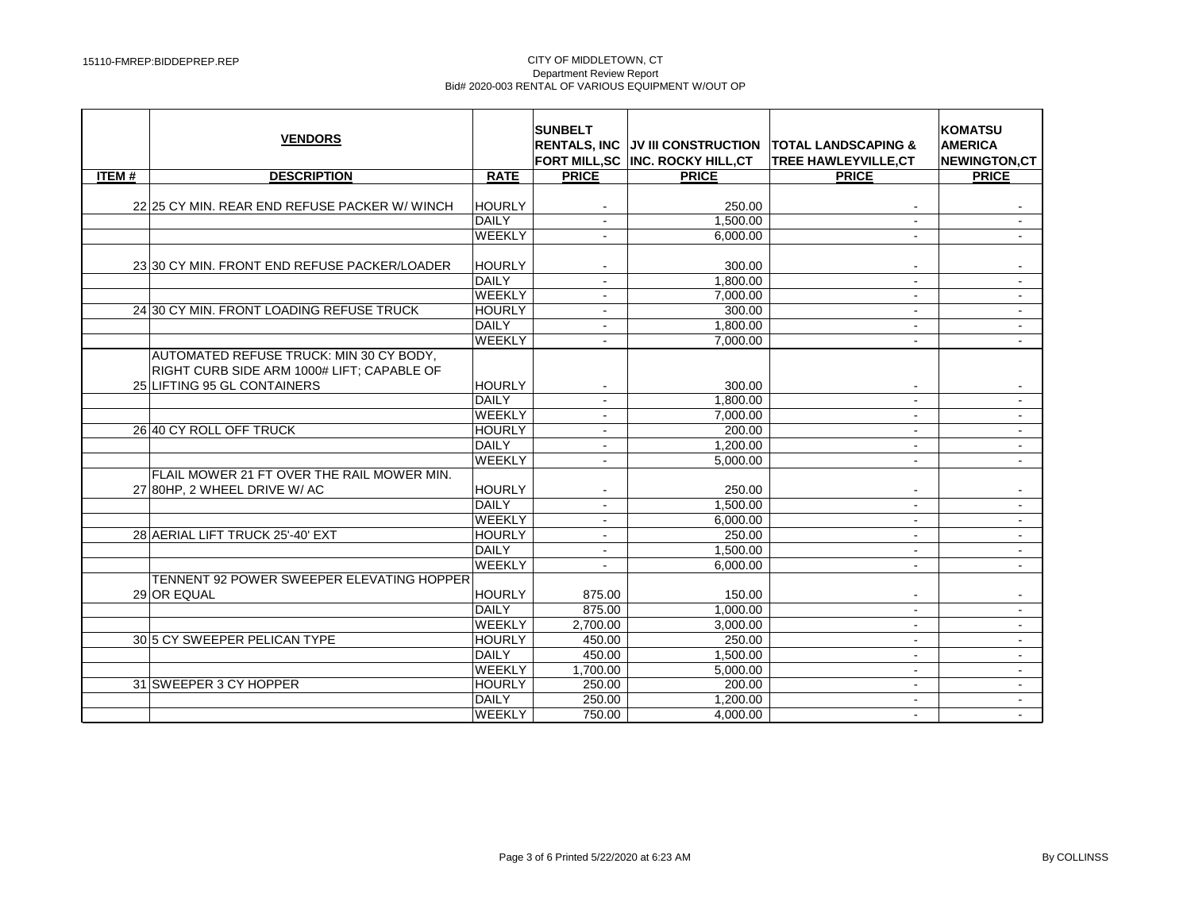|              | <b>VENDORS</b>                                                                        |               | <b>SUNBELT</b>           | RENTALS. INC IJV III CONSTRUCTION<br>FORT MILL, SC INC. ROCKY HILL, CT | <b>TOTAL LANDSCAPING &amp;</b><br>TREE HAWLEYVILLE, CT | <b>KOMATSU</b><br><b>AMERICA</b><br><b>NEWINGTON,CT</b> |
|--------------|---------------------------------------------------------------------------------------|---------------|--------------------------|------------------------------------------------------------------------|--------------------------------------------------------|---------------------------------------------------------|
| <b>ITEM#</b> | <b>DESCRIPTION</b>                                                                    | <b>RATE</b>   | <b>PRICE</b>             | <b>PRICE</b>                                                           | <b>PRICE</b>                                           | <b>PRICE</b>                                            |
|              | 22 25 CY MIN, REAR END REFUSE PACKER W/ WINCH                                         | <b>HOURLY</b> |                          | 250.00                                                                 |                                                        |                                                         |
|              |                                                                                       | <b>DAILY</b>  | $\sim$                   | 1,500.00                                                               | $\sim$                                                 | $\blacksquare$                                          |
|              |                                                                                       | <b>WEEKLY</b> |                          | 6,000.00                                                               | $\sim$                                                 |                                                         |
|              | 23 30 CY MIN. FRONT END REFUSE PACKER/LOADER                                          | <b>HOURLY</b> |                          | 300.00                                                                 |                                                        |                                                         |
|              |                                                                                       | DAILY         |                          | 1,800.00                                                               | $\sim$                                                 |                                                         |
|              |                                                                                       | WEEKLY        | $\sim$                   | 7,000.00                                                               | $\sim$                                                 | $\mathbf{u}$                                            |
|              | 24 30 CY MIN. FRONT LOADING REFUSE TRUCK                                              | <b>HOURLY</b> | $\sim$                   | 300.00                                                                 | $\sim$                                                 | $\blacksquare$                                          |
|              |                                                                                       | DAILY         | $\blacksquare$           | 1,800.00                                                               | $\sim$                                                 | $\blacksquare$                                          |
|              |                                                                                       | WEEKLY        | $\sim$                   | 7,000.00                                                               | $\sim$                                                 | $\blacksquare$                                          |
|              | AUTOMATED REFUSE TRUCK: MIN 30 CY BODY,<br>RIGHT CURB SIDE ARM 1000# LIFT; CAPABLE OF |               |                          |                                                                        |                                                        |                                                         |
|              | 25 LIFTING 95 GL CONTAINERS                                                           | <b>HOURLY</b> | $\sim$                   | 300.00                                                                 | $\sim$                                                 | $\blacksquare$                                          |
|              |                                                                                       | <b>DAILY</b>  | $\blacksquare$           | 1.800.00                                                               | $\sim$                                                 | $\blacksquare$                                          |
|              |                                                                                       | <b>WEEKLY</b> | $\sim$                   | 7,000.00                                                               | $\sim$                                                 | $\mathbf{u}$                                            |
|              | 26 40 CY ROLL OFF TRUCK                                                               | <b>HOURLY</b> | $\sim$                   | 200.00                                                                 | $\sim$                                                 | $\sim$                                                  |
|              |                                                                                       | <b>DAILY</b>  | $\overline{\phantom{a}}$ | 1,200.00                                                               | $\sim$                                                 | $\blacksquare$                                          |
|              |                                                                                       | WEEKLY        | $\sim$                   | 5.000.00                                                               | $\sim$                                                 | $\sim$                                                  |
|              | FLAIL MOWER 21 FT OVER THE RAIL MOWER MIN.<br>27 80HP, 2 WHEEL DRIVE W/AC             | <b>HOURLY</b> |                          | 250.00                                                                 |                                                        | $\qquad \qquad \blacksquare$                            |
|              |                                                                                       | <b>DAILY</b>  | $\sim$                   | 1,500.00                                                               | $\sim$                                                 | $\sim$                                                  |
|              |                                                                                       | <b>WEEKLY</b> | $\sim$                   | 6.000.00                                                               | $\sim$                                                 | $\blacksquare$                                          |
|              | 28 AERIAL LIFT TRUCK 25'-40' EXT                                                      | <b>HOURLY</b> | $\sim$                   | 250.00                                                                 | $\sim$                                                 | ÷.                                                      |
|              |                                                                                       | <b>DAILY</b>  | $\sim$                   | 1.500.00                                                               | $\sim$                                                 | $\blacksquare$                                          |
|              |                                                                                       | <b>WEEKLY</b> | $\blacksquare$           | 6,000.00                                                               | $\sim$                                                 | $\blacksquare$                                          |
|              | TENNENT 92 POWER SWEEPER ELEVATING HOPPER                                             |               |                          |                                                                        |                                                        |                                                         |
|              | 29 OR EQUAL                                                                           | <b>HOURLY</b> | 875.00                   | 150.00                                                                 |                                                        |                                                         |
|              |                                                                                       | <b>DAILY</b>  | 875.00                   | 1.000.00                                                               |                                                        | $\overline{a}$                                          |
|              |                                                                                       | <b>WEEKLY</b> | 2,700.00                 | 3,000.00                                                               | $\sim$                                                 | $\blacksquare$                                          |
|              | 30 5 CY SWEEPER PELICAN TYPE                                                          | <b>HOURLY</b> | 450.00                   | 250.00                                                                 | $\sim$                                                 | $\blacksquare$                                          |
|              |                                                                                       | <b>DAILY</b>  | 450.00                   | 1,500.00                                                               | $\sim$                                                 | $\mathbf{r}$                                            |
|              |                                                                                       | <b>WEEKLY</b> | 1,700.00                 | 5.000.00                                                               | $\sim$                                                 | $\sim$                                                  |
|              | 31 SWEEPER 3 CY HOPPER                                                                | <b>HOURLY</b> | 250.00                   | 200.00                                                                 | $\sim$                                                 | $\blacksquare$                                          |
|              |                                                                                       | <b>DAILY</b>  | 250.00                   | 1.200.00                                                               | $\sim$                                                 | $\sim$                                                  |
|              |                                                                                       | WEEKLY        | 750.00                   | 4,000.00                                                               | $\sim$                                                 | $\sim$                                                  |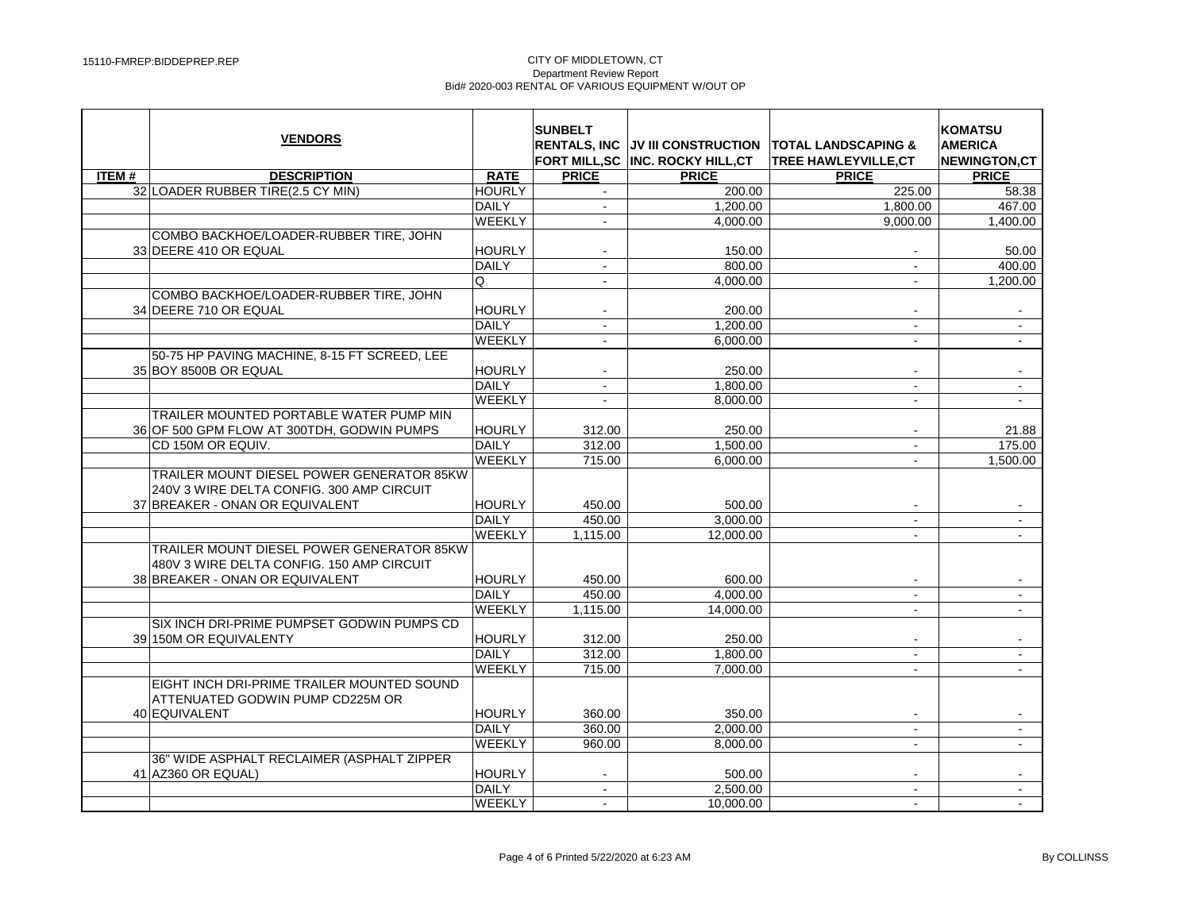|              | <b>VENDORS</b>                                                                                                            |                 | <b>SUNBELT</b><br><b>RENTALS, INC</b> | FORT MILL.SC INC. ROCKY HILL.CT | UV III CONSTRUCTION ITOTAL LANDSCAPING &<br><b>TREE HAWLEYVILLE.CT</b> | <b>KOMATSU</b><br><b>AMERICA</b><br><b>NEWINGTON.CT</b> |
|--------------|---------------------------------------------------------------------------------------------------------------------------|-----------------|---------------------------------------|---------------------------------|------------------------------------------------------------------------|---------------------------------------------------------|
| <b>ITEM#</b> | <b>DESCRIPTION</b>                                                                                                        | <b>RATE</b>     | <b>PRICE</b>                          | <b>PRICE</b>                    | <b>PRICE</b>                                                           | <b>PRICE</b>                                            |
|              | 32 LOADER RUBBER TIRE(2.5 CY MIN)                                                                                         | <b>HOURLY</b>   |                                       | 200.00                          | 225.00                                                                 | 58.38                                                   |
|              |                                                                                                                           | <b>DAILY</b>    | $\mathbf{r}$                          | 1.200.00                        | 1.800.00                                                               | 467.00                                                  |
|              |                                                                                                                           | <b>WEEKLY</b>   |                                       | 4.000.00                        | 9,000.00                                                               | 1,400.00                                                |
|              | COMBO BACKHOE/LOADER-RUBBER TIRE, JOHN                                                                                    |                 |                                       |                                 |                                                                        |                                                         |
|              | 33 DEERE 410 OR EQUAL                                                                                                     | <b>HOURLY</b>   |                                       | 150.00                          |                                                                        | 50.00                                                   |
|              |                                                                                                                           | DAILY           | $\mathbf{r}$                          | 800.00                          | $\blacksquare$                                                         | 400.00                                                  |
|              |                                                                                                                           | Q               | $\mathbf{r}$                          | 4,000.00                        | $\omega$                                                               | 1,200.00                                                |
|              | COMBO BACKHOE/LOADER-RUBBER TIRE, JOHN                                                                                    |                 |                                       |                                 |                                                                        |                                                         |
|              | 34 DEERE 710 OR EQUAL                                                                                                     | <b>HOURLY</b>   | $\blacksquare$                        | 200.00                          |                                                                        |                                                         |
|              |                                                                                                                           | <b>DAILY</b>    | $\overline{\phantom{a}}$              | 1,200.00                        |                                                                        | $\blacksquare$                                          |
|              |                                                                                                                           | WEEKLY          | $\blacksquare$                        | 6,000.00                        | $\mathbf{r}$                                                           | $\mathcal{L}_{\mathcal{A}}$                             |
|              | 50-75 HP PAVING MACHINE, 8-15 FT SCREED, LEE                                                                              |                 |                                       |                                 |                                                                        |                                                         |
|              | 35 BOY 8500B OR EQUAL                                                                                                     | <b>HOURLY</b>   |                                       | 250.00                          |                                                                        |                                                         |
|              |                                                                                                                           | DAILY           | $\blacksquare$                        | 1,800.00                        | $\blacksquare$                                                         | $\bullet$                                               |
|              |                                                                                                                           | WEEKLY          | $\blacksquare$                        | 8,000.00                        | $\sim$                                                                 |                                                         |
|              | TRAILER MOUNTED PORTABLE WATER PUMP MIN                                                                                   |                 |                                       |                                 |                                                                        |                                                         |
|              | 36 OF 500 GPM FLOW AT 300TDH, GODWIN PUMPS                                                                                | <b>HOURLY</b>   | 312.00                                | 250.00                          |                                                                        | 21.88                                                   |
|              | CD 150M OR EQUIV.                                                                                                         | DAILY           | 312.00                                | 1,500.00                        | $\sim$                                                                 | 175.00                                                  |
|              |                                                                                                                           | WEEKLY          | 715.00                                | 6,000.00                        | $\blacksquare$                                                         | 1,500.00                                                |
|              | TRAILER MOUNT DIESEL POWER GENERATOR 85KW<br>240V 3 WIRE DELTA CONFIG. 300 AMP CIRCUIT<br>37 BREAKER - ONAN OR EQUIVALENT | HOURLY          | 450.00                                | 500.00                          |                                                                        |                                                         |
|              |                                                                                                                           | DAILY           | 450.00                                | 3,000.00                        | $\blacksquare$                                                         |                                                         |
|              |                                                                                                                           | WEEKLY          | 1,115.00                              | 12,000.00                       | $\sim$                                                                 |                                                         |
|              | TRAILER MOUNT DIESEL POWER GENERATOR 85KW<br>480V 3 WIRE DELTA CONFIG. 150 AMP CIRCUIT<br>38 BREAKER - ONAN OR EQUIVALENT | HOURLY<br>DAILY | 450.00<br>450.00                      | 600.00<br>4,000.00              | $\blacksquare$                                                         | $\mathbf{r}$                                            |
|              |                                                                                                                           | WEEKLY          | 1,115.00                              | 14.000.00                       | $\blacksquare$                                                         | $\mathbf{r}$                                            |
|              | SIX INCH DRI-PRIME PUMPSET GODWIN PUMPS CD                                                                                |                 |                                       |                                 |                                                                        |                                                         |
|              | 39 150M OR EQUIVALENTY                                                                                                    | <b>HOURLY</b>   | 312.00                                | 250.00                          | $\blacksquare$                                                         |                                                         |
|              |                                                                                                                           | DAILY           | 312.00                                | 1,800.00                        | $\sim$                                                                 | $\sim$                                                  |
|              |                                                                                                                           | WEEKLY          | 715.00                                | 7,000.00                        | $\mathbf{r}$                                                           | $\mathcal{L}^{\mathcal{L}}$                             |
|              | EIGHT INCH DRI-PRIME TRAILER MOUNTED SOUND<br>ATTENUATED GODWIN PUMP CD225M OR                                            |                 |                                       |                                 |                                                                        |                                                         |
|              | 40 EQUIVALENT                                                                                                             | <b>HOURLY</b>   | 360.00                                | 350.00                          |                                                                        |                                                         |
|              |                                                                                                                           | DAILY           | 360.00                                | 2.000.00                        | $\sim$                                                                 | $\sim$                                                  |
|              |                                                                                                                           | WEEKLY          | 960.00                                | 8.000.00                        | $\sim$                                                                 | $\sim$                                                  |
|              | 36" WIDE ASPHALT RECLAIMER (ASPHALT ZIPPER                                                                                |                 |                                       |                                 |                                                                        |                                                         |
|              | 41 AZ360 OR EQUAL)                                                                                                        | HOURLY          |                                       | 500.00                          |                                                                        |                                                         |
|              |                                                                                                                           | DAILY           | $\blacksquare$                        | 2,500.00                        | $\blacksquare$                                                         | $\sim$                                                  |
|              |                                                                                                                           | WEEKLY          | $\sim$                                | 10,000.00                       | $\sim$                                                                 |                                                         |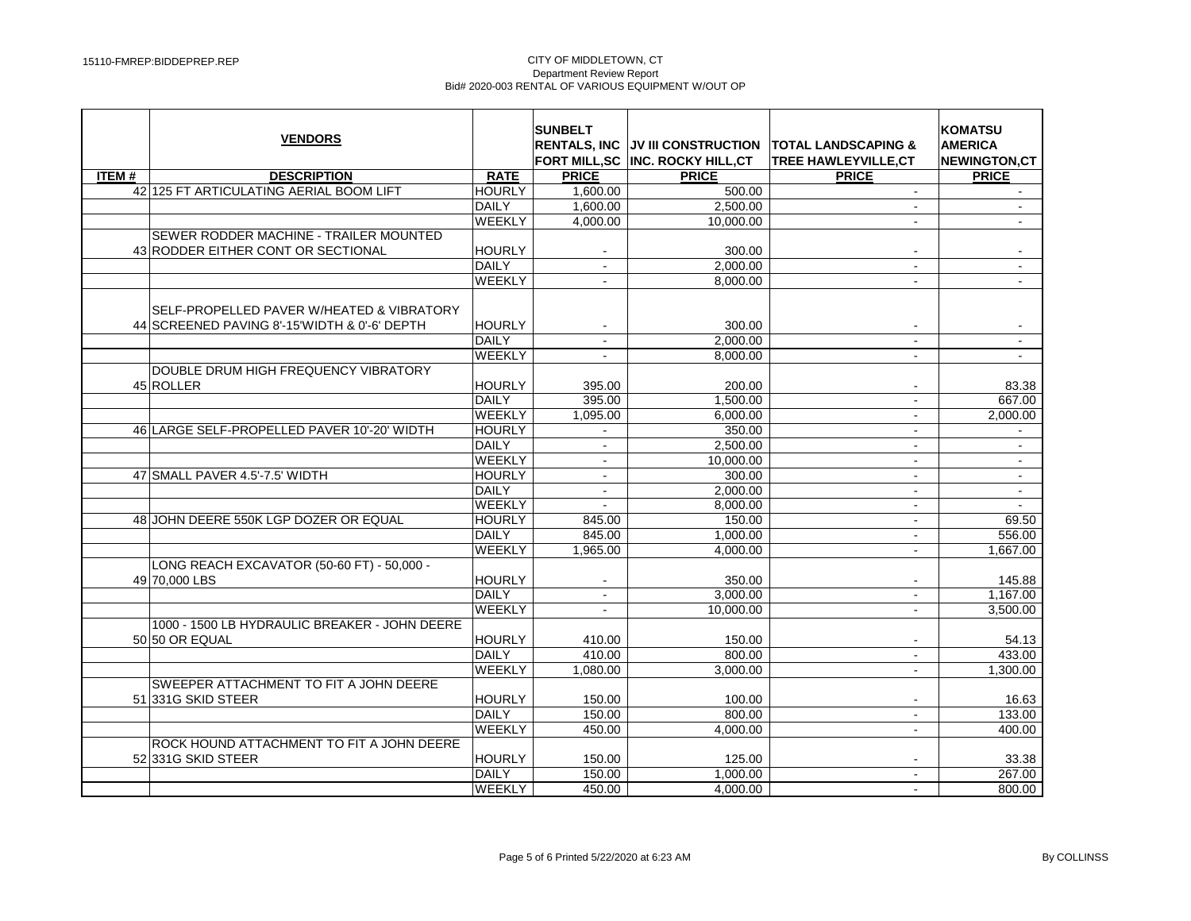|              | <b>VENDORS</b>                                                                            |               | <b>SUNBELT</b> | <b>RENTALS, INC JV III CONSTRUCTION</b><br>FORT MILL, SC INC. ROCKY HILL, CT | <b>TOTAL LANDSCAPING &amp;</b><br><b>TREE HAWLEYVILLE.CT</b> | <b>KOMATSU</b><br><b>AMERICA</b><br><b>NEWINGTON,CT</b> |
|--------------|-------------------------------------------------------------------------------------------|---------------|----------------|------------------------------------------------------------------------------|--------------------------------------------------------------|---------------------------------------------------------|
| <b>ITEM#</b> | <b>DESCRIPTION</b>                                                                        | <b>RATE</b>   | <b>PRICE</b>   | <b>PRICE</b>                                                                 | <b>PRICE</b>                                                 | <b>PRICE</b>                                            |
|              | 42 125 FT ARTICULATING AERIAL BOOM LIFT                                                   | <b>HOURLY</b> | 1,600.00       | 500.00                                                                       | $\blacksquare$                                               |                                                         |
|              |                                                                                           | DAILY         | 1,600.00       | 2,500.00                                                                     | $\sim$                                                       | $\blacksquare$                                          |
|              |                                                                                           | WEEKLY        | 4,000.00       | 10.000.00                                                                    | $\sim$                                                       | $\mathbf{r}$                                            |
|              | SEWER RODDER MACHINE - TRAILER MOUNTED                                                    |               |                |                                                                              |                                                              |                                                         |
|              | 43 RODDER EITHER CONT OR SECTIONAL                                                        | HOURLY        |                | 300.00                                                                       |                                                              |                                                         |
|              |                                                                                           | <b>DAILY</b>  |                | 2,000.00                                                                     | $\blacksquare$                                               | $\blacksquare$                                          |
|              |                                                                                           | WEEKLY        | $\mathbf{r}$   | 8,000.00                                                                     | $\sim$                                                       | $\mathcal{L}^{\mathcal{L}}$                             |
|              | SELF-PROPELLED PAVER W/HEATED & VIBRATORY<br>44 SCREENED PAVING 8'-15'WIDTH & 0'-6' DEPTH | <b>HOURLY</b> | $\blacksquare$ | 300.00                                                                       | $\sim$                                                       |                                                         |
|              |                                                                                           | DAILY         | $\mathbf{r}$   | 2.000.00                                                                     | $\mathcal{L}_{\mathcal{A}}$                                  | $\sim$                                                  |
|              |                                                                                           | <b>WEEKLY</b> |                | 8,000.00                                                                     |                                                              |                                                         |
|              | DOUBLE DRUM HIGH FREQUENCY VIBRATORY                                                      |               |                |                                                                              |                                                              |                                                         |
|              | 45 ROLLER                                                                                 | <b>HOURLY</b> | 395.00         | 200.00                                                                       |                                                              | 83.38                                                   |
|              |                                                                                           | DAILY         | 395.00         | 1.500.00                                                                     | $\sim$                                                       | 667.00                                                  |
|              |                                                                                           | WEEKLY        | 1,095.00       | 6,000.00                                                                     | $\mathcal{L}_{\mathcal{A}}$                                  | 2,000.00                                                |
|              | 46 LARGE SELF-PROPELLED PAVER 10'-20' WIDTH                                               | <b>HOURLY</b> |                | 350.00                                                                       |                                                              |                                                         |
|              |                                                                                           | DAILY         | $\blacksquare$ | 2,500.00                                                                     | $\blacksquare$                                               | $\blacksquare$                                          |
|              |                                                                                           | WEEKLY        | $\mathbf{r}$   | 10,000.00                                                                    | $\blacksquare$                                               | $\mathbf{u}$                                            |
|              | 47 SMALL PAVER 4.5'-7.5' WIDTH                                                            | <b>HOURLY</b> |                | 300.00                                                                       |                                                              | $\mathbf{u}$                                            |
|              |                                                                                           | <b>DAILY</b>  | $\sim$         | 2,000.00                                                                     | $\blacksquare$                                               | $\blacksquare$                                          |
|              |                                                                                           | WEEKLY        |                | 8,000.00                                                                     | $\blacksquare$                                               | $\sim$                                                  |
|              | 48 JOHN DEERE 550K LGP DOZER OR EQUAL                                                     | <b>HOURLY</b> | 845.00         | 150.00                                                                       | $\blacksquare$                                               | 69.50                                                   |
|              |                                                                                           | DAILY         | 845.00         | 1,000.00                                                                     | $\blacksquare$                                               | 556.00                                                  |
|              |                                                                                           | WEEKLY        | 1,965.00       | 4.000.00                                                                     |                                                              | 1,667.00                                                |
|              | LONG REACH EXCAVATOR (50-60 FT) - 50,000 -<br>49 70,000 LBS                               | <b>HOURLY</b> |                | 350.00                                                                       |                                                              | 145.88                                                  |
|              |                                                                                           | DAILY         | $\sim$         | 3.000.00                                                                     | $\blacksquare$                                               | 1.167.00                                                |
|              |                                                                                           | WEEKLY        | $\blacksquare$ | 10.000.00                                                                    | $\blacksquare$                                               | 3.500.00                                                |
|              | 1000 - 1500 LB HYDRAULIC BREAKER - JOHN DEERE<br>50 50 OR EQUAL                           | <b>HOURLY</b> | 410.00         | 150.00                                                                       |                                                              | 54.13                                                   |
|              |                                                                                           | DAILY         | 410.00         | 800.00                                                                       | $\blacksquare$                                               | 433.00                                                  |
|              |                                                                                           | WEEKLY        | 1,080.00       | 3.000.00                                                                     |                                                              | 1,300.00                                                |
|              | SWEEPER ATTACHMENT TO FIT A JOHN DEERE<br>51 331 G SKID STEER                             | <b>HOURLY</b> | 150.00         | 100.00                                                                       |                                                              | 16.63                                                   |
|              |                                                                                           | DAILY         | 150.00         | 800.00                                                                       | $\sim$                                                       | 133.00                                                  |
|              |                                                                                           | WEEKLY        | 450.00         | 4.000.00                                                                     | $\mathcal{L}_{\mathcal{A}}$                                  | 400.00                                                  |
|              | ROCK HOUND ATTACHMENT TO FIT A JOHN DEERE                                                 |               |                |                                                                              |                                                              |                                                         |
|              | 52 331 G SKID STEER                                                                       | <b>HOURLY</b> | 150.00         | 125.00                                                                       |                                                              | 33.38                                                   |
|              |                                                                                           | <b>DAILY</b>  | 150.00         | 1.000.00                                                                     | $\sim$                                                       | 267.00                                                  |
|              |                                                                                           | WEEKLY        | 450.00         | 4.000.00                                                                     |                                                              | 800.00                                                  |